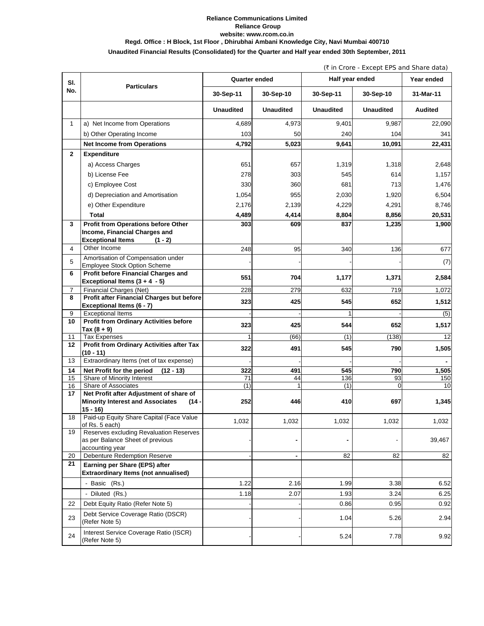## **Reliance Communications Limited Reliance Group website: www.rcom.co.in Regd. Office : H Block, 1st Floor , Dhirubhai Ambani Knowledge City, Navi Mumbai 400710**

**Unaudited Financial Results (Consolidated) for the Quarter and Half year ended 30th September, 2011**

(` in Crore - Except EPS and Share data)

| SI.            |                                                                                                          |                  | Quarter ended    | Half year ended  |                  | Year ended     |  |
|----------------|----------------------------------------------------------------------------------------------------------|------------------|------------------|------------------|------------------|----------------|--|
| No.            | <b>Particulars</b>                                                                                       | 30-Sep-11        | 30-Sep-10        | 30-Sep-11        | 30-Sep-10        | 31-Mar-11      |  |
|                |                                                                                                          | <b>Unaudited</b> | <b>Unaudited</b> | <b>Unaudited</b> | <b>Unaudited</b> | <b>Audited</b> |  |
| $\mathbf{1}$   | a) Net Income from Operations                                                                            | 4,689            | 4,973            | 9.401            | 9,987            | 22,090         |  |
|                | b) Other Operating Income                                                                                | 103              | 50               | 240              | 104              | 341            |  |
|                | <b>Net Income from Operations</b>                                                                        | 4,792            | 5,023            | 9,641            | 10,091           | 22,431         |  |
| $\mathbf{2}$   | <b>Expenditure</b>                                                                                       |                  |                  |                  |                  |                |  |
|                | a) Access Charges                                                                                        | 651              | 657              | 1,319            | 1,318            | 2,648          |  |
|                | b) License Fee                                                                                           | 278              | 303              | 545              | 614              | 1,157          |  |
|                | c) Employee Cost                                                                                         | 330              | 360              | 681              | 713              | 1,476          |  |
|                | d) Depreciation and Amortisation                                                                         | 1,054            | 955              | 2,030            | 1,920            | 6,504          |  |
|                | e) Other Expenditure                                                                                     | 2,176            | 2,139            | 4,229            | 4,291            | 8,746          |  |
|                | Total                                                                                                    | 4,489            | 4,414            | 8,804            | 8,856            | 20,531         |  |
| 3              | <b>Profit from Operations before Other</b>                                                               | 303              | 609              | 837              | 1,235            | 1,900          |  |
|                | Income, Financial Charges and                                                                            |                  |                  |                  |                  |                |  |
|                | <b>Exceptional Items</b><br>$(1 - 2)$                                                                    |                  |                  |                  |                  |                |  |
| $\overline{4}$ | Other Income                                                                                             | 248              | 95               | 340              | 136              | 677            |  |
| 5              | Amortisation of Compensation under                                                                       |                  |                  |                  |                  | (7)            |  |
| 6              | <b>Employee Stock Option Scheme</b><br>Profit before Financial Charges and                               |                  |                  |                  |                  |                |  |
|                | Exceptional Items $(3 + 4 - 5)$                                                                          | 551              | 704              | 1,177            | 1,371            | 2,584          |  |
| 7              | Financial Charges (Net)                                                                                  | 228              | 279              | 632              | 719              | 1,072          |  |
| 8              | Profit after Financial Charges but before                                                                | 323              | 425              | 545              | 652              | 1,512          |  |
|                | Exceptional Items (6 - 7)                                                                                |                  |                  |                  |                  |                |  |
| 9<br>10        | <b>Exceptional Items</b><br><b>Profit from Ordinary Activities before</b>                                |                  |                  |                  |                  | (5)            |  |
|                | Tax $(8 + 9)$                                                                                            | 323              | 425              | 544              | 652              | 1,517          |  |
| 11             | <b>Tax Expenses</b>                                                                                      |                  | (66)             | (1)              | (138)            | 12             |  |
| 12             | Profit from Ordinary Activities after Tax                                                                | 322              | 491              | 545              | 790              | 1,505          |  |
| 13             | (10 - 11)<br>Extraordinary Items (net of tax expense)                                                    |                  |                  |                  |                  |                |  |
| 14             | Net Profit for the period<br>$(12 - 13)$                                                                 | 322              | 491              | 545              | 790              | 1,505          |  |
| 15             | Share of Minority Interest                                                                               | 71               | 44               | 136              | 93               | 150            |  |
| 16             | Share of Associates                                                                                      | (1)              | 1                | (1)              | $\Omega$         | 10             |  |
| 17             | Net Profit after Adjustment of share of<br><b>Minority Interest and Associates</b><br>(14 -<br>$15 - 16$ | 252              | 446              | 410              | 697              | 1,345          |  |
| 18             | Paid-up Equity Share Capital (Face Value<br>of Rs. 5 each)                                               | 1,032            | 1,032            | 1,032            | 1,032            | 1,032          |  |
| 19             | Reserves excluding Revaluation Reserves<br>as per Balance Sheet of previous<br>accounting year           |                  |                  |                  |                  | 39,467         |  |
| 20             | <b>Debenture Redemption Reserve</b>                                                                      |                  |                  | 82               | 82               | 82             |  |
| 21             | Earning per Share (EPS) after<br><b>Extraordinary Items (not annualised)</b>                             |                  |                  |                  |                  |                |  |
|                | - Basic (Rs.)                                                                                            | 1.22             | 2.16             | 1.99             | 3.38             | 6.52           |  |
|                | - Diluted (Rs.)                                                                                          | 1.18             | 2.07             | 1.93             | 3.24             | 6.25           |  |
| 22             | Debt Equity Ratio (Refer Note 5)                                                                         |                  |                  | 0.86             | 0.95             | 0.92           |  |
|                |                                                                                                          |                  |                  |                  |                  |                |  |
| 23             | Debt Service Coverage Ratio (DSCR)<br>(Refer Note 5)                                                     |                  |                  | 1.04             | 5.26             | 2.94           |  |
| 24             | Interest Service Coverage Ratio (ISCR)<br>(Refer Note 5)                                                 |                  |                  | 5.24             | 7.78             | 9.92           |  |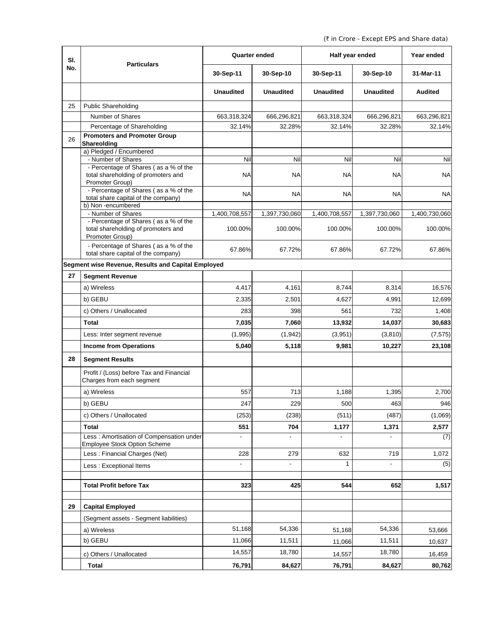(` in Crore - Except EPS and Share data)

| SI. | <b>Particulars</b>                                                                              | <b>Quarter ended</b>     |                  | Half year ended  | Year ended       |                |
|-----|-------------------------------------------------------------------------------------------------|--------------------------|------------------|------------------|------------------|----------------|
| No. |                                                                                                 | 30-Sep-11                | 30-Sep-10        | 30-Sep-11        | 30-Sep-10        | 31-Mar-11      |
|     |                                                                                                 | <b>Unaudited</b>         | <b>Unaudited</b> | <b>Unaudited</b> | <b>Unaudited</b> | <b>Audited</b> |
| 25  | <b>Public Shareholding</b>                                                                      |                          |                  |                  |                  |                |
|     | Number of Shares                                                                                | 663,318,324              | 666,296,821      | 663,318,324      | 666,296,821      | 663,296,821    |
|     | Percentage of Shareholding                                                                      | 32.14%                   | 32.28%           | 32.14%           | 32.28%           | 32.14%         |
| 26  | <b>Promoters and Promoter Group</b>                                                             |                          |                  |                  |                  |                |
|     | Shareolding<br>a) Pledged / Encumbered                                                          |                          |                  |                  |                  |                |
|     | - Number of Shares                                                                              | Nil                      | Nil              | Nil              | Nil              | Nil            |
|     | - Percentage of Shares (as a % of the<br>total shareholding of promoters and<br>Promoter Group) | ΝA                       | NA               | NA               | <b>NA</b>        | <b>NA</b>      |
|     | - Percentage of Shares (as a % of the<br>total share capital of the company)                    | NA                       | NA               | <b>NA</b>        | <b>NA</b>        | <b>NA</b>      |
|     | b) Non-encumbered<br>- Number of Shares                                                         | 1,400,708,557            | 1,397,730,060    | 1,400,708,557    | 1,397,730,060    | 1,400,730,060  |
|     | - Percentage of Shares (as a % of the<br>total shareholding of promoters and<br>Promoter Group) | 100.00%                  | 100.00%          | 100.00%          | 100.00%          | 100.00%        |
|     | - Percentage of Shares (as a % of the<br>total share capital of the company)                    | 67.86%                   | 67.72%           | 67.86%           | 67.72%           | 67.86%         |
|     | Segment wise Revenue, Results and Capital Employed                                              |                          |                  |                  |                  |                |
| 27  | <b>Segment Revenue</b>                                                                          |                          |                  |                  |                  |                |
|     | a) Wireless                                                                                     | 4,417                    | 4,161            | 8,744            | 8,314            | 16,576         |
|     | b) GEBU                                                                                         | 2,335                    | 2,501            | 4,627            | 4,991            | 12,699         |
|     | c) Others / Unallocated                                                                         | 283                      | 398              | 561              | 732              | 1,408          |
|     | <b>Total</b>                                                                                    | 7,035                    | 7,060            | 13,932           | 14,037           | 30,683         |
|     |                                                                                                 |                          |                  |                  |                  |                |
|     | Less: Inter segment revenue                                                                     | (1,995)                  | (1,942)          | (3,951)          | (3,810)          | (7, 575)       |
|     | <b>Income from Operations</b>                                                                   | 5,040                    | 5,118            | 9,981            | 10,227           | 23,108         |
| 28  | <b>Segment Results</b>                                                                          |                          |                  |                  |                  |                |
|     | Profit / (Loss) before Tax and Financial<br>Charges from each segment                           |                          |                  |                  |                  |                |
|     | a) Wireless                                                                                     | 557                      | 713              | 1,188            | 1,395            | 2,700          |
|     | b) GEBU                                                                                         | 247                      | 229              | 500              | 463              | 946            |
|     | c) Others / Unallocated                                                                         | (253)                    | (238)            | (511)            | (487)            | (1,069)        |
|     | Total                                                                                           | 551                      | 704              | 1,177            | 1,371            | 2,577          |
|     | Less : Amortisation of Compensation under<br><b>Employee Stock Option Scheme</b>                | $\overline{\phantom{a}}$ |                  |                  |                  | (7)            |
|     | Less: Financial Charges (Net)                                                                   | 228                      | 279              | 632              | 719              | 1,072          |
|     | Less : Exceptional Items                                                                        |                          |                  | $\mathbf{1}$     |                  | (5)            |
|     | <b>Total Profit before Tax</b>                                                                  | 323                      | 425              | 544              | 652              | 1,517          |
| 29  | <b>Capital Employed</b>                                                                         |                          |                  |                  |                  |                |
|     | (Segment assets - Segment liabilities)                                                          |                          |                  |                  |                  |                |
|     | a) Wireless                                                                                     | 51,168                   | 54,336           | 51,168           | 54,336           | 53,666         |
|     | b) GEBU                                                                                         | 11,066                   | 11,511           | 11,066           | 11,511           | 10,637         |
|     | c) Others / Unallocated                                                                         | 14,557                   | 18,780           | 14,557           | 18,780           | 16,459         |
|     | <b>Total</b>                                                                                    | 76,791                   | 84,627           | 76,791           | 84,627           | 80,762         |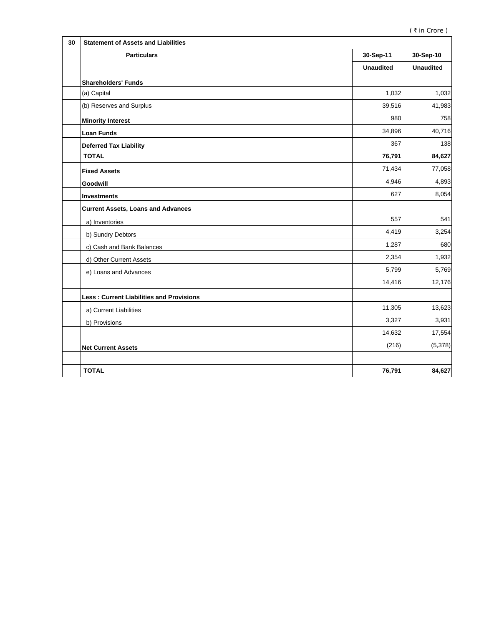| 30 | <b>Statement of Assets and Liabilities</b>      |                  |                  |
|----|-------------------------------------------------|------------------|------------------|
|    | <b>Particulars</b>                              | 30-Sep-11        | 30-Sep-10        |
|    |                                                 | <b>Unaudited</b> | <b>Unaudited</b> |
|    | <b>Shareholders' Funds</b>                      |                  |                  |
|    | (a) Capital                                     | 1,032            | 1,032            |
|    | (b) Reserves and Surplus                        | 39,516           | 41,983           |
|    | <b>Minority Interest</b>                        | 980              | 758              |
|    | <b>Loan Funds</b>                               | 34,896           | 40,716           |
|    | <b>Deferred Tax Liability</b>                   | 367              | 138              |
|    | <b>TOTAL</b>                                    | 76,791           | 84,627           |
|    | <b>Fixed Assets</b>                             | 71,434           | 77,058           |
|    | Goodwill                                        | 4,946            | 4,893            |
|    | <b>Investments</b>                              | 627              | 8,054            |
|    | <b>Current Assets, Loans and Advances</b>       |                  |                  |
|    | a) Inventories                                  | 557              | 541              |
|    | b) Sundry Debtors                               | 4,419            | 3,254            |
|    | c) Cash and Bank Balances                       | 1,287            | 680              |
|    | d) Other Current Assets                         | 2,354            | 1,932            |
|    | e) Loans and Advances                           | 5,799            | 5,769            |
|    |                                                 | 14,416           | 12,176           |
|    | <b>Less: Current Liabilities and Provisions</b> |                  |                  |
|    | a) Current Liabilities                          | 11,305           | 13,623           |
|    | b) Provisions                                   | 3,327            | 3,931            |
|    |                                                 | 14,632           | 17,554           |
|    | <b>Net Current Assets</b>                       | (216)            | (5,378)          |
|    |                                                 |                  |                  |
|    | <b>TOTAL</b>                                    | 76,791           | 84,627           |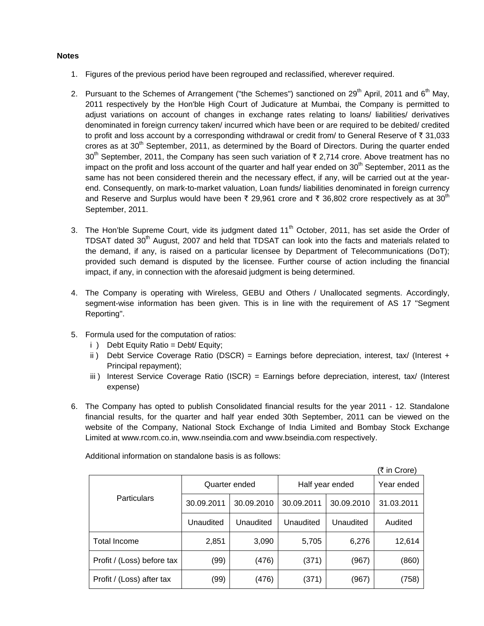## **Notes**

- 1. Figures of the previous period have been regrouped and reclassified, wherever required.
- 2. Pursuant to the Schemes of Arrangement ("the Schemes") sanctioned on  $29<sup>th</sup>$  April, 2011 and 6<sup>th</sup> May, 2011 respectively by the Hon'ble High Court of Judicature at Mumbai, the Company is permitted to adjust variations on account of changes in exchange rates relating to loans/ liabilities/ derivatives denominated in foreign currency taken/ incurred which have been or are required to be debited/ credited to profit and loss account by a corresponding withdrawal or credit from/ to General Reserve of  $\bar{\tau}$  31,033 crores as at  $30<sup>th</sup>$  September, 2011, as determined by the Board of Directors. During the quarter ended  $30<sup>th</sup>$  September, 2011, the Company has seen such variation of  $\bar{\tau}$  2,714 crore. Above treatment has no impact on the profit and loss account of the quarter and half year ended on  $30<sup>th</sup>$  September, 2011 as the same has not been considered therein and the necessary effect, if any, will be carried out at the yearend. Consequently, on mark-to-market valuation, Loan funds/ liabilities denominated in foreign currency and Reserve and Surplus would have been  $\bar{\tau}$  29,961 crore and  $\bar{\tau}$  36,802 crore respectively as at 30<sup>th</sup> September, 2011.
- 3. The Hon'ble Supreme Court, vide its judgment dated  $11<sup>th</sup>$  October, 2011, has set aside the Order of TDSAT dated 30<sup>th</sup> August, 2007 and held that TDSAT can look into the facts and materials related to the demand, if any, is raised on a particular licensee by Department of Telecommunications (DoT); provided such demand is disputed by the licensee. Further course of action including the financial impact, if any, in connection with the aforesaid judgment is being determined.
- 4. The Company is operating with Wireless, GEBU and Others / Unallocated segments. Accordingly, segment-wise information has been given. This is in line with the requirement of AS 17 "Segment Reporting".
- 5. Formula used for the computation of ratios:
	- i ) Debt Equity Ratio = Debt/ Equity;
	- ii ) Debt Service Coverage Ratio (DSCR) = Earnings before depreciation, interest, tax/ (Interest + Principal repayment);
	- iii ) Interest Service Coverage Ratio (ISCR) = Earnings before depreciation, interest, tax/ (Interest expense)
- 6. The Company has opted to publish Consolidated financial results for the year 2011 12. Standalone financial results, for the quarter and half year ended 30th September, 2011 can be viewed on the website of the Company, National Stock Exchange of India Limited and Bombay Stock Exchange Limited at www.rcom.co.in, www.nseindia.com and www.bseindia.com respectively.

|                            |               |            |                 |            | (₹ in Crore) |
|----------------------------|---------------|------------|-----------------|------------|--------------|
|                            | Quarter ended |            | Half year ended |            | Year ended   |
| Particulars                | 30.09.2011    | 30.09.2010 | 30.09.2011      | 30.09.2010 | 31.03.2011   |
|                            | Unaudited     | Unaudited  | Unaudited       | Unaudited  | Audited      |
| Total Income               | 2,851         | 3,090      | 5,705           | 6,276      | 12,614       |
| Profit / (Loss) before tax | (99)          | (476)      | (371)           | (967)      | (860)        |
| Profit / (Loss) after tax  | (99)          | (476)      | (371)           | (967)      | (758)        |

Additional information on standalone basis is as follows: